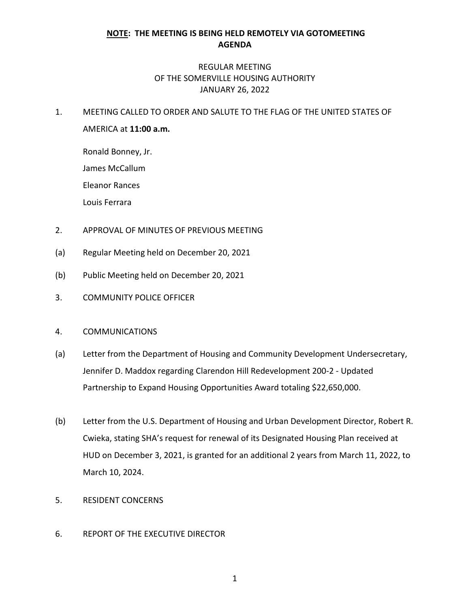## **NOTE: THE MEETING IS BEING HELD REMOTELY VIA GOTOMEETING AGENDA**

## REGULAR MEETING OF THE SOMERVILLE HOUSING AUTHORITY JANUARY 26, 2022

1. MEETING CALLED TO ORDER AND SALUTE TO THE FLAG OF THE UNITED STATES OF AMERICA at **11:00 a.m.**

Ronald Bonney, Jr. James McCallum Eleanor Rances

Louis Ferrara

- 2. APPROVAL OF MINUTES OF PREVIOUS MEETING
- (a) Regular Meeting held on December 20, 2021
- (b) Public Meeting held on December 20, 2021
- 3. COMMUNITY POLICE OFFICER
- 4. COMMUNICATIONS
- (a) Letter from the Department of Housing and Community Development Undersecretary, Jennifer D. Maddox regarding Clarendon Hill Redevelopment 200-2 - Updated Partnership to Expand Housing Opportunities Award totaling \$22,650,000.
- (b) Letter from the U.S. Department of Housing and Urban Development Director, Robert R. Cwieka, stating SHA's request for renewal of its Designated Housing Plan received at HUD on December 3, 2021, is granted for an additional 2 years from March 11, 2022, to March 10, 2024.
- 5. RESIDENT CONCERNS
- 6. REPORT OF THE EXECUTIVE DIRECTOR

1